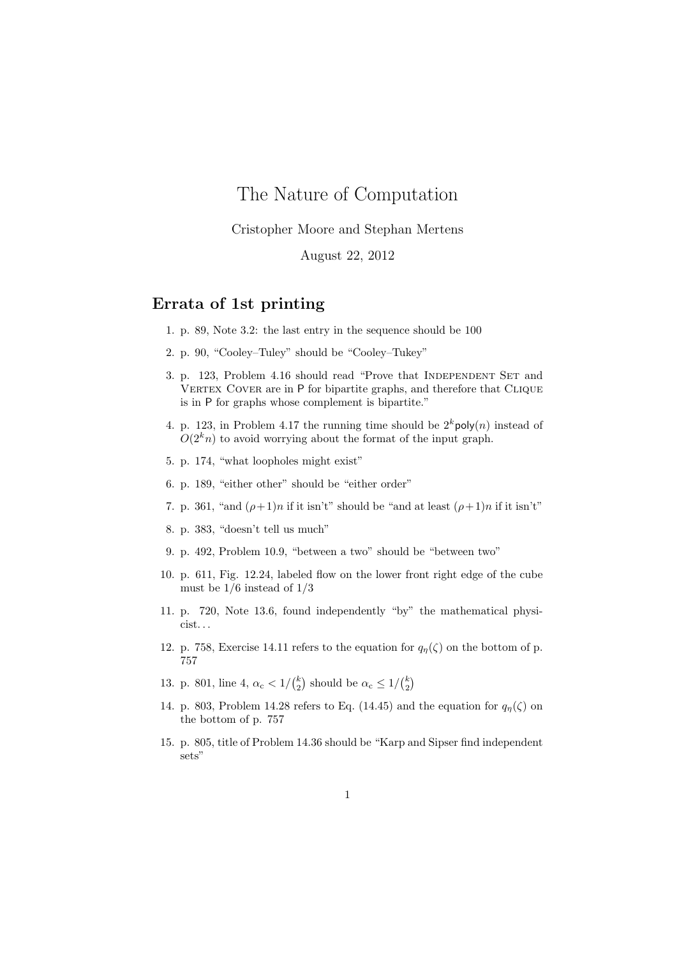## The Nature of Computation

Cristopher Moore and Stephan Mertens

August 22, 2012

## Errata of 1st printing

- 1. p. 89, Note 3.2: the last entry in the sequence should be 100
- 2. p. 90, "Cooley–Tuley" should be "Cooley–Tukey"
- 3. p. 123, Problem 4.16 should read "Prove that INDEPENDENT SET and VERTEX COVER are in P for bipartite graphs, and therefore that CLIQUE is in P for graphs whose complement is bipartite."
- 4. p. 123, in Problem 4.17 the running time should be  $2^k \text{poly}(n)$  instead of  $O(2<sup>k</sup>n)$  to avoid worrying about the format of the input graph.
- 5. p. 174, "what loopholes might exist"
- 6. p. 189, "either other" should be "either order"
- 7. p. 361, "and  $(\rho+1)n$  if it isn't" should be "and at least  $(\rho+1)n$  if it isn't"
- 8. p. 383, "doesn't tell us much"
- 9. p. 492, Problem 10.9, "between a two" should be "between two"
- 10. p. 611, Fig. 12.24, labeled flow on the lower front right edge of the cube must be  $1/6$  instead of  $1/3$
- 11. p. 720, Note 13.6, found independently "by" the mathematical physicist. . .
- 12. p. 758, Exercise 14.11 refers to the equation for  $q_{\eta}(\zeta)$  on the bottom of p. 757
- 13. p. 801, line 4,  $\alpha_c < 1/{k \choose 2}$  should be  $\alpha_c \le 1/{k \choose 2}$
- 14. p. 803, Problem 14.28 refers to Eq. (14.45) and the equation for  $q_n(\zeta)$  on the bottom of p. 757
- 15. p. 805, title of Problem 14.36 should be "Karp and Sipser find independent sets"